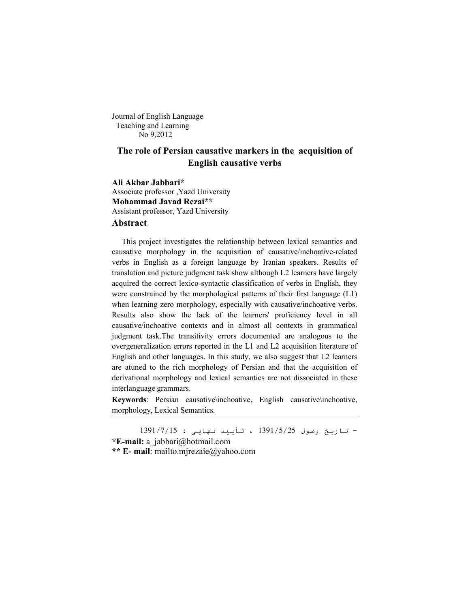Journal of English Language Teaching and Learning No 9,2012

# **The role of Persian causative markers in the acquisition of English causative verbs**

**Ali Akbar Jabbari\*** Associate professor ,Yazd University **Mohammad Javad Rezai\*\*** Assistant professor, Yazd University **Abstract**

 This project investigates the relationship between lexical semantics and causative morphology in the acquisition of causative/inchoative-related verbs in English as a foreign language by Iranian speakers. Results of translation and picture judgment task show although L2 learners have largely acquired the correct lexico-syntactic classification of verbs in English, they were constrained by the morphological patterns of their first language (L1) when learning zero morphology, especially with causative/inchoative verbs. Results also show the lack of the learners' proficiency level in all causative/inchoative contexts and in almost all contexts in grammatical judgment task.The transitivity errors documented are analogous to the overgeneralization errors reported in the L1 and L2 acquisition literature of English and other languages. In this study, we also suggest that L2 learners are atuned to the rich morphology of Persian and that the acquisition of derivational morphology and lexical semantics are not dissociated in these interlanguage grammars.

**Keywords**: Persian causative\inchoative, English causative\inchoative, morphology, Lexical Semantics.

- تاریخ وصول 1391/5/25 ، تأیید نھایی : 1391/7/15 **\*E-mail:** a\_jabbari@hotmail.com **\*\* E- mail**: mailto.mjrezaie@yahoo.com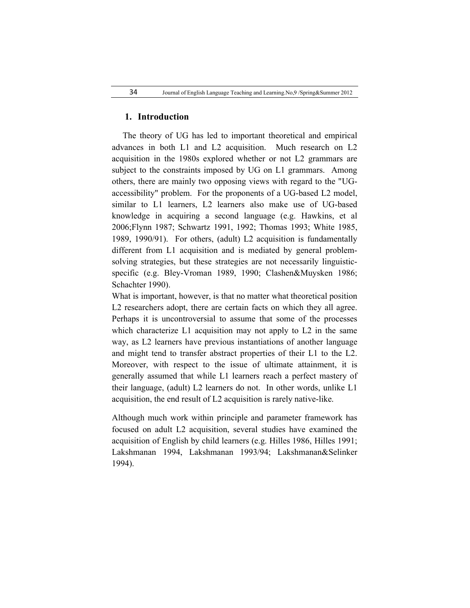#### **1. Introduction**

 The theory of UG has led to important theoretical and empirical advances in both L1 and L2 acquisition. Much research on L2 acquisition in the 1980s explored whether or not L2 grammars are subject to the constraints imposed by UG on L1 grammars. Among others, there are mainly two opposing views with regard to the "UGaccessibility" problem. For the proponents of a UG-based L2 model, similar to L1 learners, L2 learners also make use of UG-based knowledge in acquiring a second language (e.g. Hawkins, et al 2006;Flynn 1987; Schwartz 1991, 1992; Thomas 1993; White 1985, 1989, 1990/91). For others, (adult) L2 acquisition is fundamentally different from L1 acquisition and is mediated by general problemsolving strategies, but these strategies are not necessarily linguisticspecific (e.g. Bley-Vroman 1989, 1990; Clashen&Muysken 1986; Schachter 1990).

What is important, however, is that no matter what theoretical position L2 researchers adopt, there are certain facts on which they all agree. Perhaps it is uncontroversial to assume that some of the processes which characterize L1 acquisition may not apply to L2 in the same way, as L2 learners have previous instantiations of another language and might tend to transfer abstract properties of their L1 to the L2. Moreover, with respect to the issue of ultimate attainment, it is generally assumed that while L1 learners reach a perfect mastery of their language, (adult) L2 learners do not. In other words, unlike L1 acquisition, the end result of L2 acquisition is rarely native-like.

Although much work within principle and parameter framework has focused on adult L2 acquisition, several studies have examined the acquisition of English by child learners (e.g. Hilles 1986, Hilles 1991; Lakshmanan 1994, Lakshmanan 1993/94; Lakshmanan&Selinker 1994).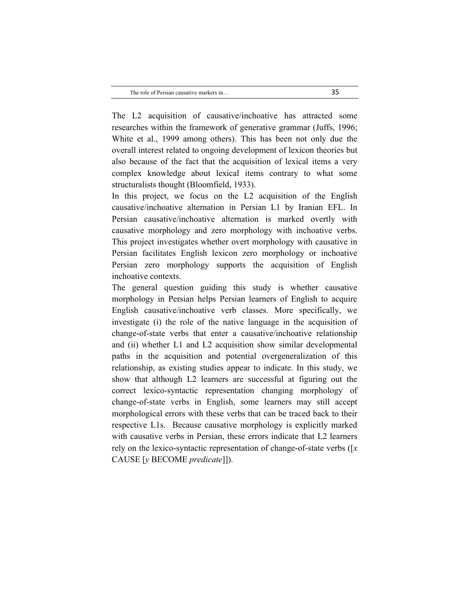The L2 acquisition of causative/inchoative has attracted some researches within the framework of generative grammar (Juffs, 1996; White et al., 1999 among others). This has been not only due the overall interest related to ongoing development of lexicon theories but also because of the fact that the acquisition of lexical items a very complex knowledge about lexical items contrary to what some structuralists thought (Bloomfield, 1933).

In this project, we focus on the L2 acquisition of the English causative/inchoative alternation in Persian L1 by Iranian EFL. In Persian causative/inchoative alternation is marked overtly with causative morphology and zero morphology with inchoative verbs. This project investigates whether overt morphology with causative in Persian facilitates English lexicon zero morphology or inchoative Persian zero morphology supports the acquisition of English inchoative contexts.

The general question guiding this study is whether causative morphology in Persian helps Persian learners of English to acquire English causative/inchoative verb classes. More specifically, we investigate (i) the role of the native language in the acquisition of change-of-state verbs that enter a causative/inchoative relationship and (ii) whether L1 and L2 acquisition show similar developmental paths in the acquisition and potential overgeneralization of this relationship, as existing studies appear to indicate. In this study, we show that although L2 learners are successful at figuring out the correct lexico-syntactic representation changing morphology of change-of-state verbs in English, some learners may still accept morphological errors with these verbs that can be traced back to their respective L1s. Because causative morphology is explicitly marked with causative verbs in Persian, these errors indicate that L2 learners rely on the lexico-syntactic representation of change-of-state verbs ([*x*  CAUSE [*y* BECOME *predicate*]]).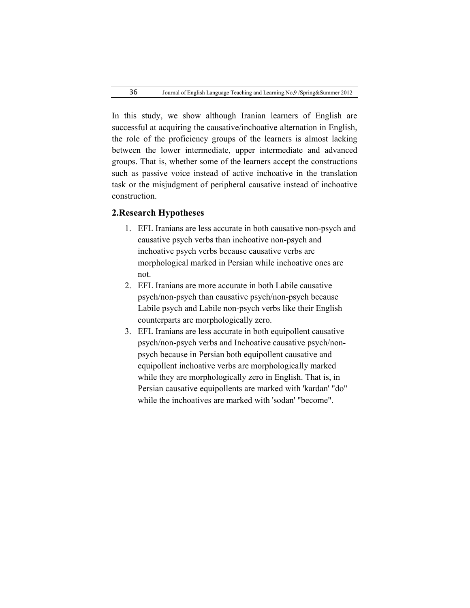In this study, we show although Iranian learners of English are successful at acquiring the causative/inchoative alternation in English, the role of the proficiency groups of the learners is almost lacking between the lower intermediate, upper intermediate and advanced groups. That is, whether some of the learners accept the constructions such as passive voice instead of active inchoative in the translation task or the misjudgment of peripheral causative instead of inchoative construction.

### **2.Research Hypotheses**

- 1. EFL Iranians are less accurate in both causative non-psych and causative psych verbs than inchoative non-psych and inchoative psych verbs because causative verbs are morphological marked in Persian while inchoative ones are not.
- 2. EFL Iranians are more accurate in both Labile causative psych/non-psych than causative psych/non-psych because Labile psych and Labile non-psych verbs like their English counterparts are morphologically zero.
- 3. EFL Iranians are less accurate in both equipollent causative psych/non-psych verbs and Inchoative causative psych/nonpsych because in Persian both equipollent causative and equipollent inchoative verbs are morphologically marked while they are morphologically zero in English. That is, in Persian causative equipollents are marked with 'kardan' "do" while the inchoatives are marked with 'sodan' "become".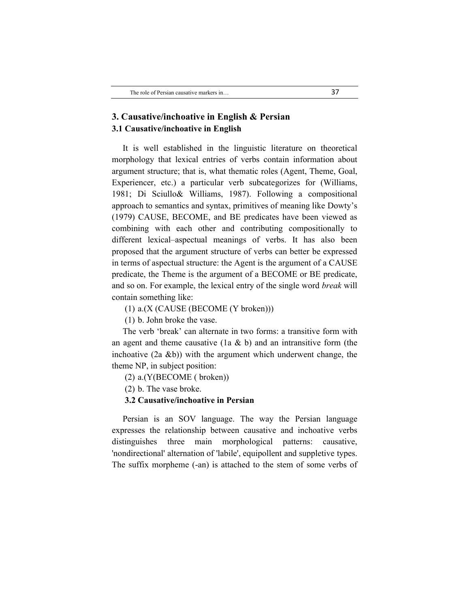## **3. Causative/inchoative in English & Persian 3.1 Causative/inchoative in English**

 It is well established in the linguistic literature on theoretical morphology that lexical entries of verbs contain information about argument structure; that is, what thematic roles (Agent, Theme, Goal, Experiencer, etc.) a particular verb subcategorizes for (Williams, 1981; Di Sciullo& Williams, 1987). Following a compositional approach to semantics and syntax, primitives of meaning like Dowty's (1979) CAUSE, BECOME, and BE predicates have been viewed as combining with each other and contributing compositionally to different lexical–aspectual meanings of verbs. It has also been proposed that the argument structure of verbs can better be expressed in terms of aspectual structure: the Agent is the argument of a CAUSE predicate, the Theme is the argument of a BECOME or BE predicate, and so on. For example, the lexical entry of the single word *break* will contain something like:

(1) a.(X (CAUSE (BECOME (Y broken)))

(1) b. John broke the vase.

 The verb 'break' can alternate in two forms: a transitive form with an agent and theme causative (1a  $\&$  b) and an intransitive form (the inchoative  $(2a \& b)$ ) with the argument which underwent change, the theme NP, in subject position:

- (2) a.(Y(BECOME ( broken))
- (2) b. The vase broke.

#### **3.2 Causative/inchoative in Persian**

 Persian is an SOV language. The way the Persian language expresses the relationship between causative and inchoative verbs distinguishes three main morphological patterns: causative, 'nondirectional' alternation of 'labile', equipollent and suppletive types. The suffix morpheme (-an) is attached to the stem of some verbs of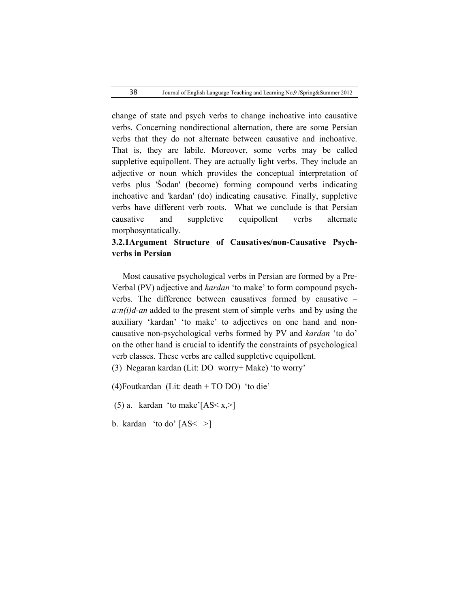change of state and psych verbs to change inchoative into causative verbs. Concerning nondirectional alternation, there are some Persian verbs that they do not alternate between causative and inchoative. That is, they are labile. Moreover, some verbs may be called suppletive equipollent. They are actually light verbs. They include an adjective or noun which provides the conceptual interpretation of verbs plus 'Šodan' (become) forming compound verbs indicating inchoative and 'kardan' (do) indicating causative. Finally, suppletive verbs have different verb roots. What we conclude is that Persian causative and suppletive equipollent verbs alternate morphosyntatically.

# **3.2.1Argument Structure of Causatives/non-Causative Psychverbs in Persian**

 Most causative psychological verbs in Persian are formed by a Pre-Verbal (PV) adjective and *kardan* 'to make' to form compound psychverbs. The difference between causatives formed by causative – *a:n(i)d-an* added to the present stem of simple verbs and by using the auxiliary 'kardan' 'to make' to adjectives on one hand and noncausative non-psychological verbs formed by PV and *kardan* 'to do' on the other hand is crucial to identify the constraints of psychological verb classes. These verbs are called suppletive equipollent.

(3) Negaran kardan (Lit: DO worry+ Make) 'to worry'

(4)Foutkardan (Lit: death + TO DO) 'to die'

(5) a. kardan 'to make'[AS $\langle x, \rangle$ ]

b. kardan 'to do'  $[AS < >]$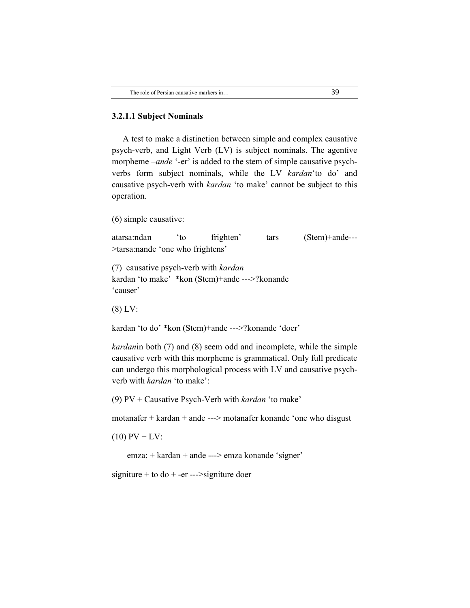#### **3.2.1.1 Subject Nominals**

 A test to make a distinction between simple and complex causative psych-verb, and Light Verb (LV) is subject nominals. The agentive morpheme *–ande* '-er' is added to the stem of simple causative psychverbs form subject nominals, while the LV *kardan*'to do' and causative psych-verb with *kardan* 'to make' cannot be subject to this operation.

(6) simple causative:

atarsa:ndan 'to frighten' tars (Stem)+ande--- >tarsa:nande 'one who frightens'

(7) causative psych-verb with *kardan* kardan 'to make' \*kon (Stem)+ande --->?konande 'causer'

(8) LV:

kardan 'to do' \*kon (Stem)+ande --->?konande 'doer'

*kardan*in both (7) and (8) seem odd and incomplete, while the simple causative verb with this morpheme is grammatical. Only full predicate can undergo this morphological process with LV and causative psychverb with *kardan* 'to make':

(9) PV + Causative Psych-Verb with *kardan* 'to make'

motanafer + kardan + ande ---> motanafer konande 'one who disgust

 $(10)$  PV + LV:

emza: + kardan + ande ---> emza konande 'signer'

signiture + to  $d\sigma$  + -er --->signiture doer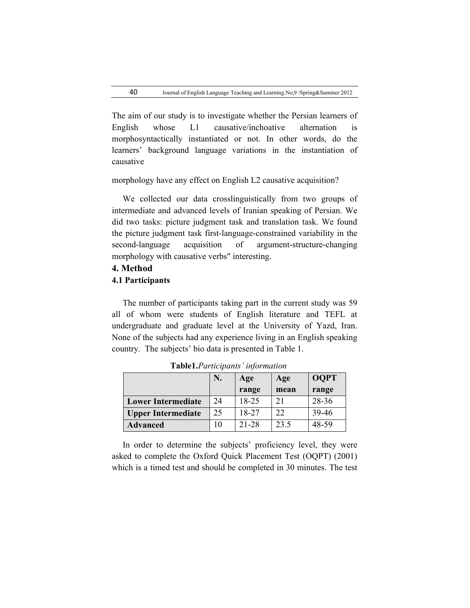The aim of our study is to investigate whether the Persian learners of English whose L1 causative/inchoative alternation is morphosyntactically instantiated or not. In other words, do the learners' background language variations in the instantiation of causative

morphology have any effect on English L2 causative acquisition?

 We collected our data crosslinguistically from two groups of intermediate and advanced levels of Iranian speaking of Persian. We did two tasks: picture judgment task and translation task. We found the picture judgment task first-language-constrained variability in the second-language acquisition of argument-structure-changing morphology with causative verbs" interesting.

## **4. Method 4.1 Participants**

 The number of participants taking part in the current study was 59 all of whom were students of English literature and TEFL at undergraduate and graduate level at the University of Yazd, Iran. None of the subjects had any experience living in an English speaking country. The subjects' bio data is presented in Table 1.

|                           | N. | Age       | Age  | <b>OQPT</b> |
|---------------------------|----|-----------|------|-------------|
|                           |    | range     | mean | range       |
| <b>Lower Intermediate</b> | 24 | 18-25     | 21   | 28-36       |
| <b>Upper Intermediate</b> | 25 | 18-27     | 22   | 39-46       |
| <b>Advanced</b>           | 10 | $21 - 28$ | 23.5 | 48-59       |

 **Table1.***Participants' information*

 In order to determine the subjects' proficiency level, they were asked to complete the Oxford Quick Placement Test (OQPT) (2001) which is a timed test and should be completed in 30 minutes. The test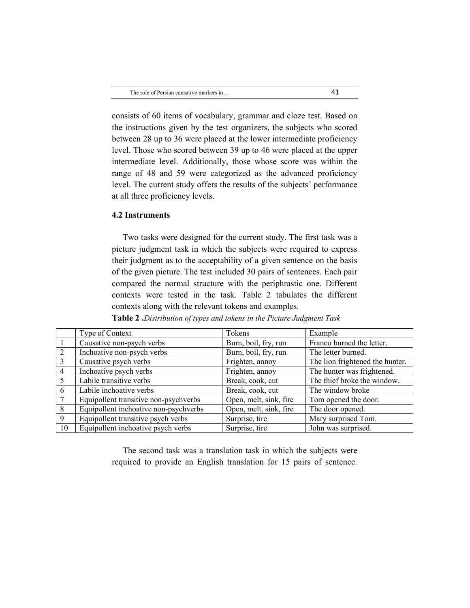consists of 60 items of vocabulary, grammar and cloze test. Based on the instructions given by the test organizers, the subjects who scored between 28 up to 36 were placed at the lower intermediate proficiency level. Those who scored between 39 up to 46 were placed at the upper intermediate level. Additionally, those whose score was within the range of 48 and 59 were categorized as the advanced proficiency level. The current study offers the results of the subjects' performance at all three proficiency levels.

### **4.2 Instruments**

 Two tasks were designed for the current study. The first task was a picture judgment task in which the subjects were required to express their judgment as to the acceptability of a given sentence on the basis of the given picture. The test included 30 pairs of sentences. Each pair compared the normal structure with the periphrastic one. Different contexts were tested in the task. Table 2 tabulates the different contexts along with the relevant tokens and examples.

|                | Type of Context                       | Tokens                 | Example                         |
|----------------|---------------------------------------|------------------------|---------------------------------|
|                | Causative non-psych verbs             | Burn, boil, fry, run   | Franco burned the letter.       |
| $\overline{2}$ | Inchoative non-psych verbs            | Burn, boil, fry, run   | The letter burned.              |
|                | Causative psych verbs                 | Frighten, annoy        | The lion frightened the hunter. |
| 4              | Inchoative psych verbs                | Frighten, annoy        | The hunter was frightened.      |
|                | Labile transitive verbs               | Break, cook, cut       | The thief broke the window.     |
| 6              | Labile inchoative verbs               | Break, cook, cut       | The window broke                |
|                | Equipollent transitive non-psychverbs | Open, melt, sink, fire | Tom opened the door.            |
| 8              | Equipollent inchoative non-psychverbs | Open, melt, sink, fire | The door opened.                |
| 9              | Equipollent transitive psych verbs    | Surprise, tire         | Mary surprised Tom.             |
| 10             | Equipollent inchoative psych verbs    | Surprise, tire         | John was surprised.             |

**Table 2 .***Distribution of types and tokens in the Picture Judgment Task*

 The second task was a translation task in which the subjects were required to provide an English translation for 15 pairs of sentence.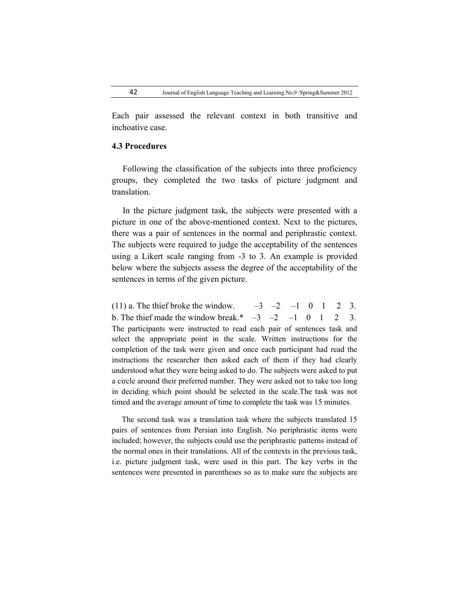Each pair assessed the relevant context in both transitive and inchoative case.

#### **4.3 Procedures**

 Following the classification of the subjects into three proficiency groups, they completed the two tasks of picture judgment and translation.

 In the picture judgment task, the subjects were presented with a picture in one of the above-mentioned context. Next to the pictures, there was a pair of sentences in the normal and periphrastic context. The subjects were required to judge the acceptability of the sentences using a Likert scale ranging from -3 to 3. An example is provided below where the subjects assess the degree of the acceptability of the sentences in terms of the given picture.

(11) a. The thief broke the window.  $-3$   $-2$   $-1$  0 1 2 3. b. The thief made the window break.\*  $-3$   $-2$   $-1$  0 1 2 3. The participants were instructed to read each pair of sentences task and select the appropriate point in the scale. Written instructions for the completion of the task were given and once each participant had read the instructions the researcher then asked each of them if they had clearly understood what they were being asked to do. The subjects were asked to put a circle around their preferred number. They were asked not to take too long in deciding which point should be selected in the scale.The task was not timed and the average amount of time to complete the task was 15 minutes.

 The second task was a translation task where the subjects translated 15 pairs of sentences from Persian into English. No periphrastic items were included; however, the subjects could use the periphrastic patterns instead of the normal ones in their translations. All of the contexts in the previous task, i.e. picture judgment task, were used in this part. The key verbs in the sentences were presented in parentheses so as to make sure the subjects are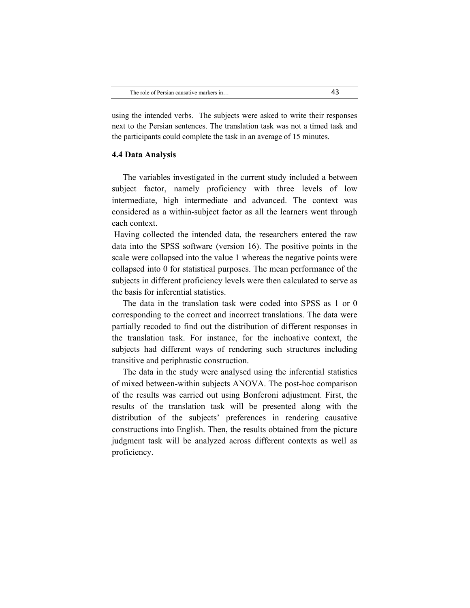using the intended verbs. The subjects were asked to write their responses next to the Persian sentences. The translation task was not a timed task and the participants could complete the task in an average of 15 minutes.

#### **4.4 Data Analysis**

 The variables investigated in the current study included a between subject factor, namely proficiency with three levels of low intermediate, high intermediate and advanced. The context was considered as a within-subject factor as all the learners went through each context.

Having collected the intended data, the researchers entered the raw data into the SPSS software (version 16). The positive points in the scale were collapsed into the value 1 whereas the negative points were collapsed into 0 for statistical purposes. The mean performance of the subjects in different proficiency levels were then calculated to serve as the basis for inferential statistics.

 The data in the translation task were coded into SPSS as 1 or 0 corresponding to the correct and incorrect translations. The data were partially recoded to find out the distribution of different responses in the translation task. For instance, for the inchoative context, the subjects had different ways of rendering such structures including transitive and periphrastic construction.

 The data in the study were analysed using the inferential statistics of mixed between-within subjects ANOVA. The post-hoc comparison of the results was carried out using Bonferoni adjustment. First, the results of the translation task will be presented along with the distribution of the subjects' preferences in rendering causative constructions into English. Then, the results obtained from the picture judgment task will be analyzed across different contexts as well as proficiency.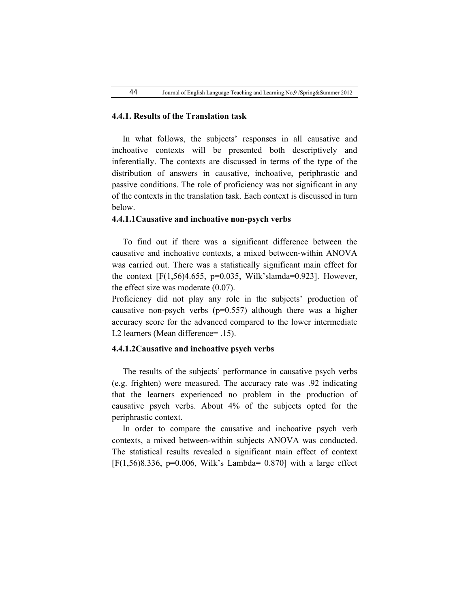#### **4.4.1. Results of the Translation task**

 In what follows, the subjects' responses in all causative and inchoative contexts will be presented both descriptively and inferentially. The contexts are discussed in terms of the type of the distribution of answers in causative, inchoative, periphrastic and passive conditions. The role of proficiency was not significant in any of the contexts in the translation task. Each context is discussed in turn below.

#### **4.4.1.1Causative and inchoative non-psych verbs**

 To find out if there was a significant difference between the causative and inchoative contexts, a mixed between-within ANOVA was carried out. There was a statistically significant main effect for the context  $[F(1,56)4.655, p=0.035, Wilk'slamda=0.923]$ . However, the effect size was moderate (0.07).

Proficiency did not play any role in the subjects' production of causative non-psych verbs  $(p=0.557)$  although there was a higher accuracy score for the advanced compared to the lower intermediate L2 learners (Mean difference= .15).

#### **4.4.1.2Causative and inchoative psych verbs**

 The results of the subjects' performance in causative psych verbs (e.g. frighten) were measured. The accuracy rate was .92 indicating that the learners experienced no problem in the production of causative psych verbs. About 4% of the subjects opted for the periphrastic context.

 In order to compare the causative and inchoative psych verb contexts, a mixed between-within subjects ANOVA was conducted. The statistical results revealed a significant main effect of context  $[F(1,56)8.336, p=0.006, Wilk's Lambda= 0.870] with a large effect$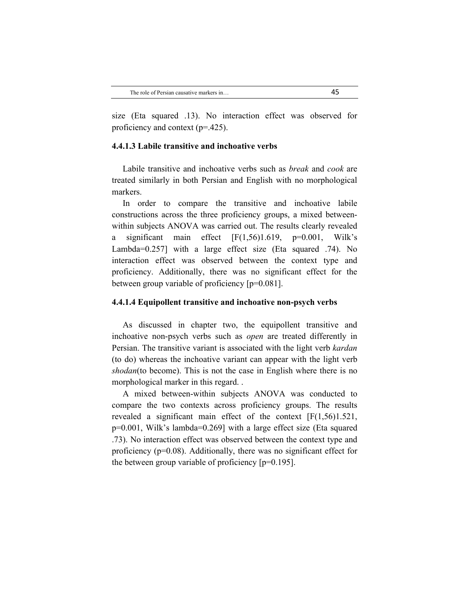size (Eta squared .13). No interaction effect was observed for proficiency and context (p=.425).

#### **4.4.1.3 Labile transitive and inchoative verbs**

 Labile transitive and inchoative verbs such as *break* and *cook* are treated similarly in both Persian and English with no morphological markers.

 In order to compare the transitive and inchoative labile constructions across the three proficiency groups, a mixed betweenwithin subjects ANOVA was carried out. The results clearly revealed a significant main effect  $[F(1,56)1.619, p=0.001, Wilk's]$ Lambda=0.257] with a large effect size (Eta squared .74). No interaction effect was observed between the context type and proficiency. Additionally, there was no significant effect for the between group variable of proficiency [p=0.081].

#### **4.4.1.4 Equipollent transitive and inchoative non-psych verbs**

 As discussed in chapter two, the equipollent transitive and inchoative non-psych verbs such as *open* are treated differently in Persian. The transitive variant is associated with the light verb *kardan* (to do) whereas the inchoative variant can appear with the light verb *shodan*(to become). This is not the case in English where there is no morphological marker in this regard. .

 A mixed between-within subjects ANOVA was conducted to compare the two contexts across proficiency groups. The results revealed a significant main effect of the context [F(1,56)1.521, p=0.001, Wilk's lambda=0.269] with a large effect size (Eta squared .73). No interaction effect was observed between the context type and proficiency (p=0.08). Additionally, there was no significant effect for the between group variable of proficiency [p=0.195].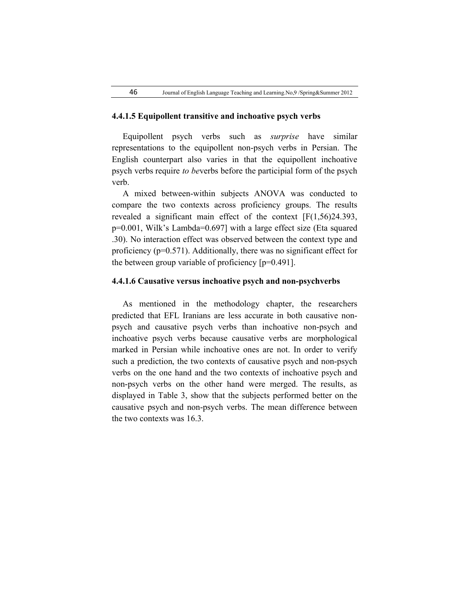#### **4.4.1.5 Equipollent transitive and inchoative psych verbs**

 Equipollent psych verbs such as *surprise* have similar representations to the equipollent non-psych verbs in Persian. The English counterpart also varies in that the equipollent inchoative psych verbs require *to be*verbs before the participial form of the psych verb.

 A mixed between-within subjects ANOVA was conducted to compare the two contexts across proficiency groups. The results revealed a significant main effect of the context [F(1,56)24.393, p=0.001, Wilk's Lambda=0.697] with a large effect size (Eta squared .30). No interaction effect was observed between the context type and proficiency (p=0.571). Additionally, there was no significant effect for the between group variable of proficiency [p=0.491].

#### **4.4.1.6 Causative versus inchoative psych and non-psychverbs**

 As mentioned in the methodology chapter, the researchers predicted that EFL Iranians are less accurate in both causative nonpsych and causative psych verbs than inchoative non-psych and inchoative psych verbs because causative verbs are morphological marked in Persian while inchoative ones are not. In order to verify such a prediction, the two contexts of causative psych and non-psych verbs on the one hand and the two contexts of inchoative psych and non-psych verbs on the other hand were merged. The results, as displayed in Table 3, show that the subjects performed better on the causative psych and non-psych verbs. The mean difference between the two contexts was 16.3.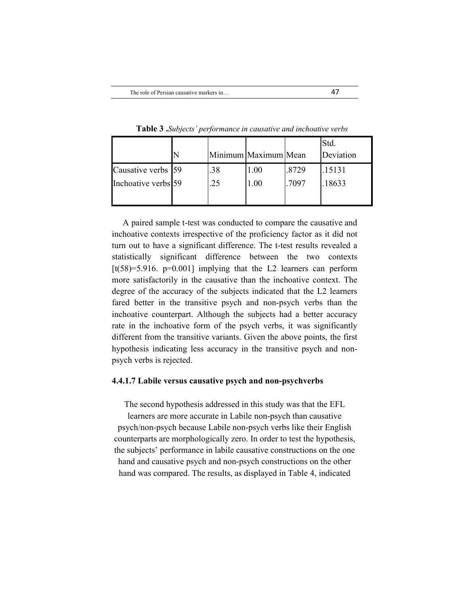|                     |     | Minimum Maximum Mean |       | Std.<br>Deviation |
|---------------------|-----|----------------------|-------|-------------------|
| Causative verbs 59  | .38 | 1.00                 | .8729 | .15131            |
| Inchoative verbs 59 | .25 | 1.00                 | .7097 | 18633             |
|                     |     |                      |       |                   |

**Table 3 .***Subjects' performance in causative and inchoative verbs*

 A paired sample t-test was conducted to compare the causative and inchoative contexts irrespective of the proficiency factor as it did not turn out to have a significant difference. The t-test results revealed a statistically significant difference between the two contexts  $[t(58)=5.916.$  p=0.001] implying that the L2 learners can perform more satisfactorily in the causative than the inchoative context. The degree of the accuracy of the subjects indicated that the L2 learners fared better in the transitive psych and non-psych verbs than the inchoative counterpart. Although the subjects had a better accuracy rate in the inchoative form of the psych verbs, it was significantly different from the transitive variants. Given the above points, the first hypothesis indicating less accuracy in the transitive psych and nonpsych verbs is rejected.

#### **4.4.1.7 Labile versus causative psych and non-psychverbs**

The second hypothesis addressed in this study was that the EFL

learners are more accurate in Labile non-psych than causative psych/non-psych because Labile non-psych verbs like their English counterparts are morphologically zero. In order to test the hypothesis, the subjects' performance in labile causative constructions on the one hand and causative psych and non-psych constructions on the other hand was compared. The results, as displayed in Table 4, indicated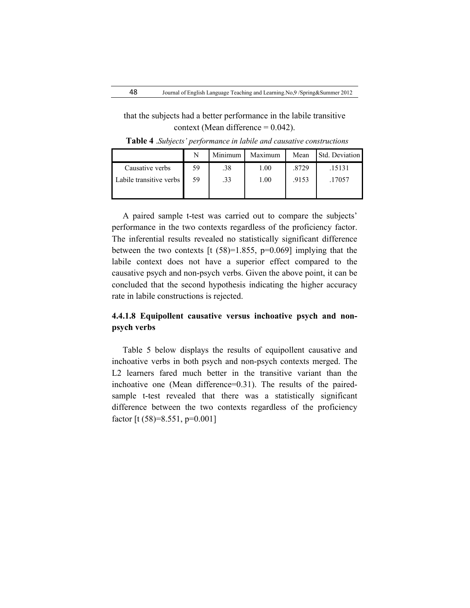that the subjects had a better performance in the labile transitive context (Mean difference  $= 0.042$ ).

|                         | N  | Minimum | Maximum | Mean  | Std. Deviation |
|-------------------------|----|---------|---------|-------|----------------|
| Causative verbs         | 59 | .38     | 1.00    | .8729 | .15131         |
| Labile transitive verbs | 59 | .33     | 1.00    | .9153 | .17057         |
|                         |    |         |         |       |                |

**Table 4** .*Subjects' performance in labile and causative constructions*

 A paired sample t-test was carried out to compare the subjects' performance in the two contexts regardless of the proficiency factor. The inferential results revealed no statistically significant difference between the two contexts [t  $(58)=1.855$ ,  $p=0.069$ ] implying that the labile context does not have a superior effect compared to the causative psych and non-psych verbs. Given the above point, it can be concluded that the second hypothesis indicating the higher accuracy rate in labile constructions is rejected.

# **4.4.1.8 Equipollent causative versus inchoative psych and nonpsych verbs**

 Table 5 below displays the results of equipollent causative and inchoative verbs in both psych and non-psych contexts merged. The L<sub>2</sub> learners fared much better in the transitive variant than the inchoative one (Mean difference=0.31). The results of the pairedsample t-test revealed that there was a statistically significant difference between the two contexts regardless of the proficiency factor  $[t (58)=8.551, p=0.001]$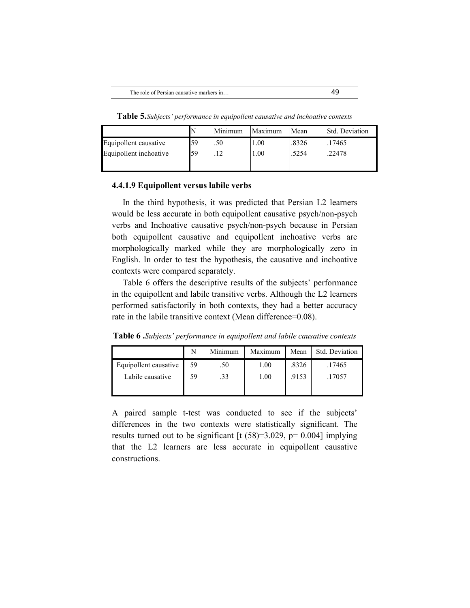**Table 5.***Subjects' performance in equipollent causative and inchoative contexts*

|                        |    | Minimum | Maximum | Mean  | Std. Deviation |
|------------------------|----|---------|---------|-------|----------------|
| Equipollent causative  | 59 | .50     | 1.00    | .8326 | .17465         |
| Equipollent inchoative | 59 | 1 ງ     | 00.1    | .5254 | .22478         |

### **4.4.1.9 Equipollent versus labile verbs**

 In the third hypothesis, it was predicted that Persian L2 learners would be less accurate in both equipollent causative psych/non-psych verbs and Inchoative causative psych/non-psych because in Persian both equipollent causative and equipollent inchoative verbs are morphologically marked while they are morphologically zero in English. In order to test the hypothesis, the causative and inchoative contexts were compared separately.

 Table 6 offers the descriptive results of the subjects' performance in the equipollent and labile transitive verbs. Although the L2 learners performed satisfactorily in both contexts, they had a better accuracy rate in the labile transitive context (Mean difference=0.08).

**Table 6 .***Subjects' performance in equipollent and labile causative contexts*

|                       | N  | Minimum | Maximum  | Mean  | Std. Deviation |
|-----------------------|----|---------|----------|-------|----------------|
| Equipollent causative | 59 | .50     | 1.00     | .8326 | .17465         |
| Labile causative      | 59 | .33     | $1.00\,$ | .9153 | 17057          |

A paired sample t-test was conducted to see if the subjects' differences in the two contexts were statistically significant. The results turned out to be significant  $[t (58)=3.029, p= 0.004]$  implying that the L2 learners are less accurate in equipollent causative constructions.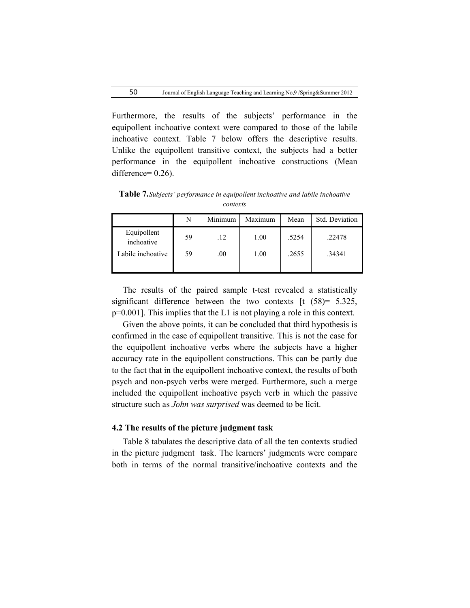Furthermore, the results of the subjects' performance in the equipollent inchoative context were compared to those of the labile inchoative context. Table 7 below offers the descriptive results. Unlike the equipollent transitive context, the subjects had a better performance in the equipollent inchoative constructions (Mean difference=  $0.26$ ).

**Table 7.***Subjects' performance in equipollent inchoative and labile inchoative contexts*

|                           | N  | Minimum | Maximum | Mean  | Std. Deviation |
|---------------------------|----|---------|---------|-------|----------------|
| Equipollent<br>inchoative | 59 | .12     | 1.00    | .5254 | .22478         |
| Labile inchoative         | 59 | .00.    | 1.00    | .2655 | .34341         |
|                           |    |         |         |       |                |

 The results of the paired sample t-test revealed a statistically significant difference between the two contexts  $[t (58) = 5.325]$ p=0.001]. This implies that the L1 is not playing a role in this context.

 Given the above points, it can be concluded that third hypothesis is confirmed in the case of equipollent transitive. This is not the case for the equipollent inchoative verbs where the subjects have a higher accuracy rate in the equipollent constructions. This can be partly due to the fact that in the equipollent inchoative context, the results of both psych and non-psych verbs were merged. Furthermore, such a merge included the equipollent inchoative psych verb in which the passive structure such as *John was surprised* was deemed to be licit.

#### **4.2 The results of the picture judgment task**

 Table 8 tabulates the descriptive data of all the ten contexts studied in the picture judgment task. The learners' judgments were compare both in terms of the normal transitive/inchoative contexts and the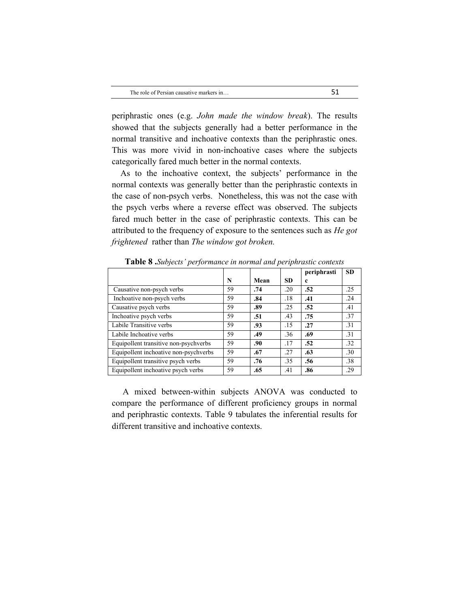periphrastic ones (e.g. *John made the window break*). The results showed that the subjects generally had a better performance in the normal transitive and inchoative contexts than the periphrastic ones. This was more vivid in non-inchoative cases where the subjects categorically fared much better in the normal contexts.

 As to the inchoative context, the subjects' performance in the normal contexts was generally better than the periphrastic contexts in the case of non-psych verbs. Nonetheless, this was not the case with the psych verbs where a reverse effect was observed. The subjects fared much better in the case of periphrastic contexts. This can be attributed to the frequency of exposure to the sentences such as *He got frightened* rather than *The window got broken.*

|                                       |    |      |           | periphrasti | <b>SD</b>        |
|---------------------------------------|----|------|-----------|-------------|------------------|
|                                       | N  | Mean | <b>SD</b> | c           |                  |
| Causative non-psych verbs             | 59 | .74  | .20       | .52         | .25              |
| Inchoative non-psych verbs            | 59 | .84  | .18       | .41         | .24              |
| Causative psych verbs                 | 59 | .89  | .25       | .52         | .41              |
| Inchoative psych verbs                | 59 | .51  | .43       | .75         | .37              |
| Labile Transitive verbs               | 59 | .93  | .15       | .27         | $\overline{.}31$ |
| Labile Inchoative verbs               | 59 | .49  | .36       | .69         | .31              |
| Equipollent transitive non-psychverbs | 59 | .90  | .17       | .52         | .32              |
| Equipollent inchoative non-psychverbs | 59 | .67  | .27       | .63         | .30              |
| Equipollent transitive psych verbs    | 59 | .76  | .35       | .56         | .38              |
| Equipollent inchoative psych verbs    | 59 | .65  | .41       | .86         | .29              |

**Table 8 .***Subjects' performance in normal and periphrastic contexts*

 A mixed between-within subjects ANOVA was conducted to compare the performance of different proficiency groups in normal and periphrastic contexts. Table 9 tabulates the inferential results for different transitive and inchoative contexts.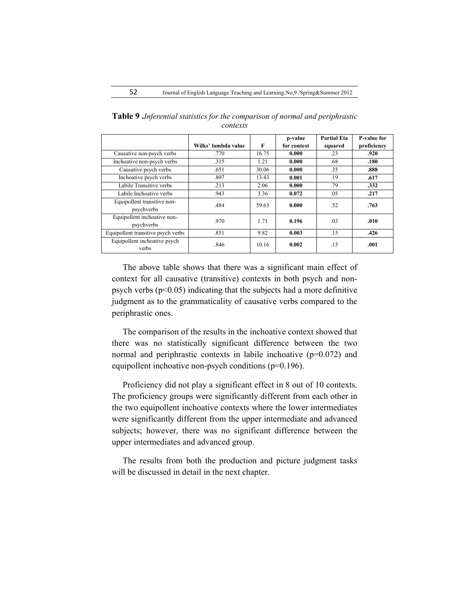|                                           |                     |       | p-value     | <b>Partial Eta</b> | P-value for |
|-------------------------------------------|---------------------|-------|-------------|--------------------|-------------|
|                                           | Wilks' lambda value | F     | for context | squared            | proficiency |
| Causative non-psych verbs                 | .770                | 16.75 | 0.000       | .23                | .920        |
| Inchoative non-psych verbs                | .315                | 1.21  | 0.000       | .68                | .180        |
| Causative psych verbs                     | .651                | 30.06 | 0.000       | .35                | .888        |
| Inchoative psych verbs                    | .807                | 13.43 | 0.001       | .19                | .617        |
| Labile Transitive verbs                   | .213                | 2.06  | 0.000       | .79                | .332        |
| Labile Inchoative verbs                   | .943                | 3.36  | 0.072       | .05                | .217        |
| Equipollent transitive non-<br>psychverbs | .484                | 59.63 | 0.000       | .52                | .763        |
| Equipollent inchoative non-<br>psychverbs | .970                | 1.71  | 0.196       | .03                | .010        |
| Equipollent transitive psych verbs        | .851                | 9.82  | 0.003       | .15                | .426        |
| Equipollent inchoative psych<br>verbs     | .846                | 10.16 | 0.002       | .15                | .001        |

**Table 9 .***Inferential statistics for the comparison of normal and periphrastic contexts*

 The above table shows that there was a significant main effect of context for all causative (transitive) contexts in both psych and nonpsych verbs ( $p<0.05$ ) indicating that the subjects had a more definitive judgment as to the grammaticality of causative verbs compared to the periphrastic ones.

 The comparison of the results in the inchoative context showed that there was no statistically significant difference between the two normal and periphrastic contexts in labile inchoative (p=0.072) and equipollent inchoative non-psych conditions (p=0.196).

 Proficiency did not play a significant effect in 8 out of 10 contexts. The proficiency groups were significantly different from each other in the two equipollent inchoative contexts where the lower intermediates were significantly different from the upper intermediate and advanced subjects; however, there was no significant difference between the upper intermediates and advanced group.

 The results from both the production and picture judgment tasks will be discussed in detail in the next chapter.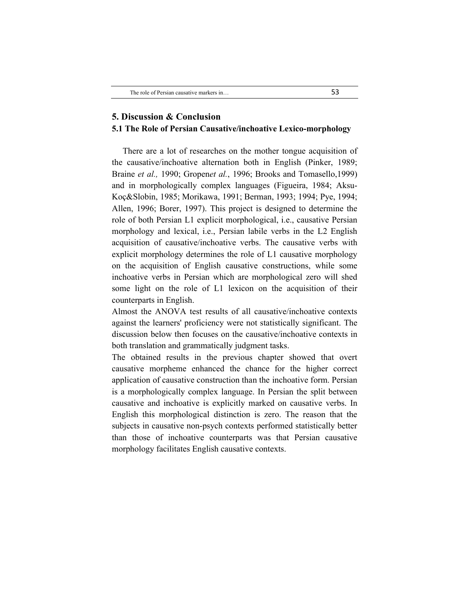## **5. Discussion & Conclusion 5.1 The Role of Persian Causative/inchoative Lexico-morphology**

 There are a lot of researches on the mother tongue acquisition of the causative/inchoative alternation both in English (Pinker, 1989; Braine *et al.,* 1990; Gropen*et al.*, 1996; Brooks and Tomasello,1999) and in morphologically complex languages (Figueira, 1984; Aksu-Koç&Slobin, 1985; Morikawa, 1991; Berman, 1993; 1994; Pye, 1994; Allen, 1996; Borer, 1997). This project is designed to determine the role of both Persian L1 explicit morphological, i.e., causative Persian morphology and lexical, i.e., Persian labile verbs in the L2 English acquisition of causative/inchoative verbs. The causative verbs with explicit morphology determines the role of L1 causative morphology on the acquisition of English causative constructions, while some inchoative verbs in Persian which are morphological zero will shed some light on the role of L1 lexicon on the acquisition of their counterparts in English.

Almost the ANOVA test results of all causative/inchoative contexts against the learners' proficiency were not statistically significant. The discussion below then focuses on the causative/inchoative contexts in both translation and grammatically judgment tasks.

The obtained results in the previous chapter showed that overt causative morpheme enhanced the chance for the higher correct application of causative construction than the inchoative form. Persian is a morphologically complex language. In Persian the split between causative and inchoative is explicitly marked on causative verbs. In English this morphological distinction is zero. The reason that the subjects in causative non-psych contexts performed statistically better than those of inchoative counterparts was that Persian causative morphology facilitates English causative contexts.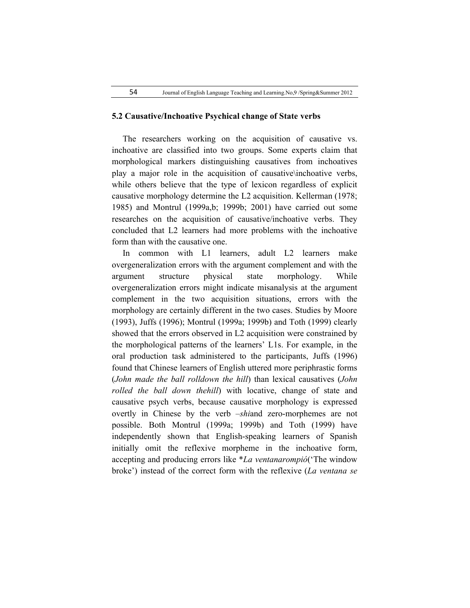#### **5.2 Causative/Inchoative Psychical change of State verbs**

 The researchers working on the acquisition of causative vs. inchoative are classified into two groups. Some experts claim that morphological markers distinguishing causatives from inchoatives play a major role in the acquisition of causative\inchoative verbs, while others believe that the type of lexicon regardless of explicit causative morphology determine the L2 acquisition. Kellerman (1978; 1985) and Montrul (1999a,b; 1999b; 2001) have carried out some researches on the acquisition of causative/inchoative verbs. They concluded that L2 learners had more problems with the inchoative form than with the causative one.

 In common with L1 learners, adult L2 learners make overgeneralization errors with the argument complement and with the argument structure physical state morphology. While overgeneralization errors might indicate misanalysis at the argument complement in the two acquisition situations, errors with the morphology are certainly different in the two cases. Studies by Moore (1993), Juffs (1996); Montrul (1999a; 1999b) and Toth (1999) clearly showed that the errors observed in L2 acquisition were constrained by the morphological patterns of the learners' L1s. For example, in the oral production task administered to the participants, Juffs (1996) found that Chinese learners of English uttered more periphrastic forms (*John made the ball rolldown the hill*) than lexical causatives (*John rolled the ball down thehill*) with locative, change of state and causative psych verbs, because causative morphology is expressed overtly in Chinese by the verb –*shi*and zero-morphemes are not possible. Both Montrul (1999a; 1999b) and Toth (1999) have independently shown that English-speaking learners of Spanish initially omit the reflexive morpheme in the inchoative form, accepting and producing errors like \**La ventanarompió*('The window broke') instead of the correct form with the reflexive (*La ventana se*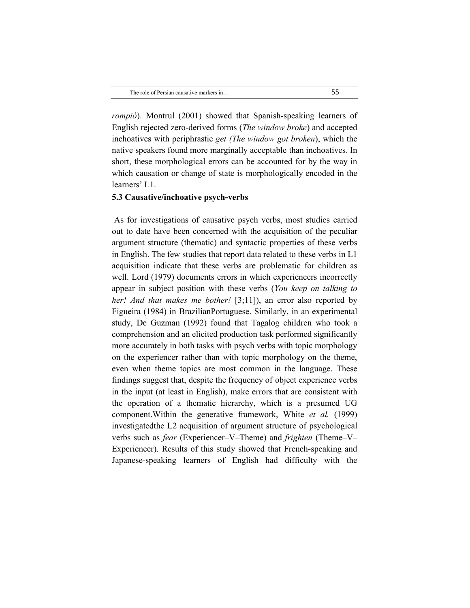*rompió*). Montrul (2001) showed that Spanish-speaking learners of English rejected zero-derived forms (*The window broke*) and accepted inchoatives with periphrastic *get (The window got broken*), which the native speakers found more marginally acceptable than inchoatives. In short, these morphological errors can be accounted for by the way in which causation or change of state is morphologically encoded in the learners' L1.

#### **5.3 Causative/inchoative psych-verbs**

As for investigations of causative psych verbs, most studies carried out to date have been concerned with the acquisition of the peculiar argument structure (thematic) and syntactic properties of these verbs in English. The few studies that report data related to these verbs in L1 acquisition indicate that these verbs are problematic for children as well. Lord (1979) documents errors in which experiencers incorrectly appear in subject position with these verbs (*You keep on talking to her! And that makes me bother!* [3;11]), an error also reported by Figueira (1984) in BrazilianPortuguese. Similarly, in an experimental study, De Guzman (1992) found that Tagalog children who took a comprehension and an elicited production task performed significantly more accurately in both tasks with psych verbs with topic morphology on the experiencer rather than with topic morphology on the theme, even when theme topics are most common in the language. These findings suggest that, despite the frequency of object experience verbs in the input (at least in English), make errors that are consistent with the operation of a thematic hierarchy, which is a presumed UG component.Within the generative framework, White *et al.* (1999) investigatedthe L2 acquisition of argument structure of psychological verbs such as *fear* (Experiencer–V–Theme) and *frighten* (Theme–V– Experiencer). Results of this study showed that French-speaking and Japanese-speaking learners of English had difficulty with the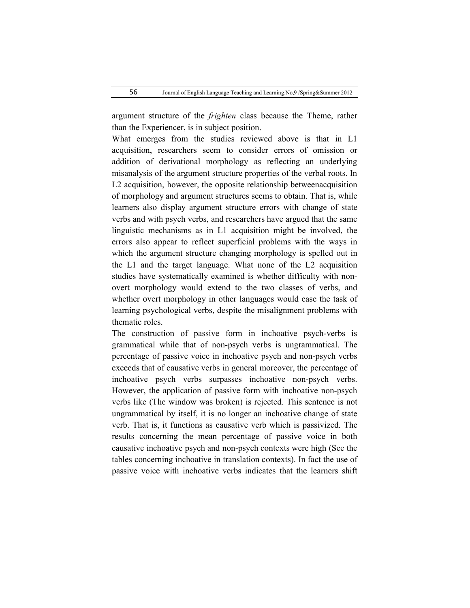argument structure of the *frighten* class because the Theme, rather than the Experiencer, is in subject position.

What emerges from the studies reviewed above is that in L1 acquisition, researchers seem to consider errors of omission or addition of derivational morphology as reflecting an underlying misanalysis of the argument structure properties of the verbal roots. In L2 acquisition, however, the opposite relationship betweenacquisition of morphology and argument structures seems to obtain. That is, while learners also display argument structure errors with change of state verbs and with psych verbs, and researchers have argued that the same linguistic mechanisms as in L1 acquisition might be involved, the errors also appear to reflect superficial problems with the ways in which the argument structure changing morphology is spelled out in the L1 and the target language. What none of the L2 acquisition studies have systematically examined is whether difficulty with nonovert morphology would extend to the two classes of verbs, and whether overt morphology in other languages would ease the task of learning psychological verbs, despite the misalignment problems with thematic roles.

The construction of passive form in inchoative psych-verbs is grammatical while that of non-psych verbs is ungrammatical. The percentage of passive voice in inchoative psych and non-psych verbs exceeds that of causative verbs in general moreover, the percentage of inchoative psych verbs surpasses inchoative non-psych verbs. However, the application of passive form with inchoative non-psych verbs like (The window was broken) is rejected. This sentence is not ungrammatical by itself, it is no longer an inchoative change of state verb. That is, it functions as causative verb which is passivized. The results concerning the mean percentage of passive voice in both causative inchoative psych and non-psych contexts were high (See the tables concerning inchoative in translation contexts). In fact the use of passive voice with inchoative verbs indicates that the learners shift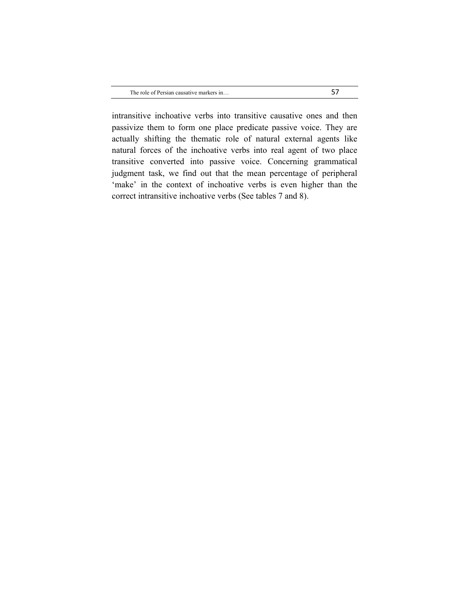intransitive inchoative verbs into transitive causative ones and then passivize them to form one place predicate passive voice. They are actually shifting the thematic role of natural external agents like natural forces of the inchoative verbs into real agent of two place transitive converted into passive voice. Concerning grammatical judgment task, we find out that the mean percentage of peripheral 'make' in the context of inchoative verbs is even higher than the correct intransitive inchoative verbs (See tables 7 and 8).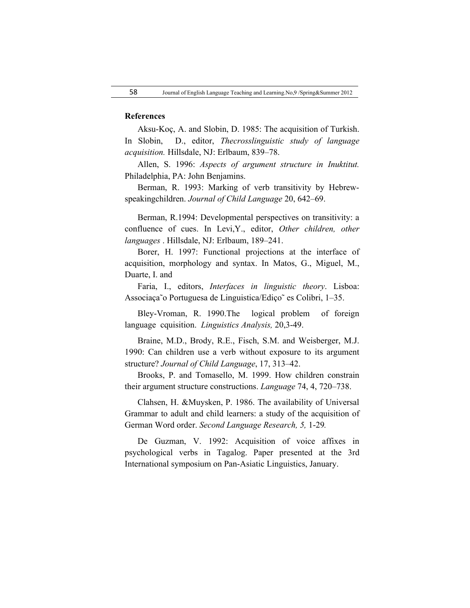#### **References**

Aksu-Koç, A. and Slobin, D. 1985: The acquisition of Turkish. In Slobin, D., editor, *Thecrosslinguistic study of language acquisition.* Hillsdale, NJ: Erlbaum, 839–78.

Allen, S. 1996: *Aspects of argument structure in Inuktitut.*  Philadelphia, PA: John Benjamins.

Berman, R. 1993: Marking of verb transitivity by Hebrewspeakingchildren. *Journal of Child Language* 20, 642–69.

Berman, R.1994: Developmental perspectives on transitivity: a confluence of cues. In Levi,Y., editor, *Other children, other languages* . Hillsdale, NJ: Erlbaum, 189–241.

Borer, H. 1997: Functional projections at the interface of acquisition, morphology and syntax. In Matos, G., Miguel, M., Duarte, I. and

Faria, I., editors, *Interfaces in linguistic theory*. Lisboa: Associaça˜o Portuguesa de Linguistica/Ediço˜ es Colibri, 1–35.

Bley-Vroman, R. 1990.The logical problem of foreign language cquisition. *Linguistics Analysis,* 20,3-49.

Braine, M.D., Brody, R.E., Fisch, S.M. and Weisberger, M.J. 1990: Can children use a verb without exposure to its argument structure? *Journal of Child Language*, 17, 313–42.

Brooks, P. and Tomasello, M. 1999. How children constrain their argument structure constructions. *Language* 74, 4, 720–738.

Clahsen, H. &Muysken, P. 1986. The availability of Universal Grammar to adult and child learners: a study of the acquisition of German Word order. *Second Language Research, 5,* 1-29*.*

De Guzman, V. 1992: Acquisition of voice affixes in psychological verbs in Tagalog. Paper presented at the 3rd International symposium on Pan-Asiatic Linguistics, January.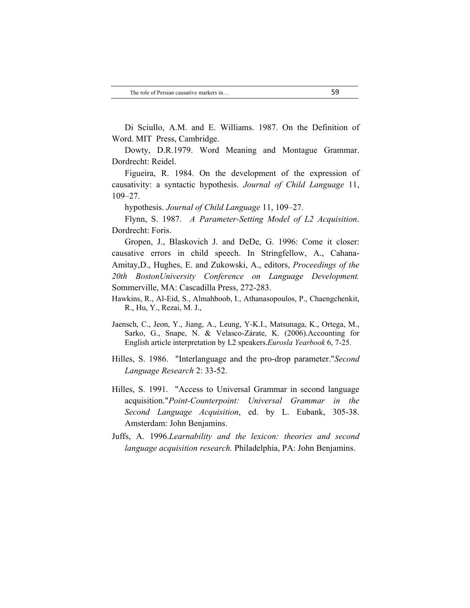Di Sciullo, A.M. and E. Williams. 1987. On the Definition of Word. MIT Press, Cambridge.

Dowty, D.R.1979. Word Meaning and Montague Grammar. Dordrecht: Reidel.

Figueira, R. 1984. On the development of the expression of causativity: a syntactic hypothesis. *Journal of Child Language* 11, 109–27.

hypothesis. *Journal of Child Language* 11, 109–27.

Flynn, S. 1987. *A Parameter-Setting Model of L2 Acquisition*. Dordrecht: Foris.

Gropen, J., Blaskovich J. and DeDe, G. 1996: Come it closer: causative errors in child speech. In Stringfellow, A., Cahana-Amitay,D., Hughes, E. and Zukowski, A., editors, *Proceedings of the 20th BostonUniversity Conference on Language Development.*  Sommerville, MA: Cascadilla Press, 272-283.

Hawkins, R., Al-Eid, S., Almahboob, I., Athanasopoulos, P., Chaengchenkit, R., Hu, Y., Rezai, M. J.,

Jaensch, C., Jeon, Y., Jiang, A., Leung, Y-K.I., Matsunaga, K., Ortega, M., Sarko, G., Snape, N. & Velasco-Zárate, K. (2006).Accounting for English article interpretation by L2 speakers.*Eurosla Yearbook* 6, 7-25.

- Hilles, S. 1986. "Interlanguage and the pro-drop parameter."*Second Language Research* 2: 33-52.
- Hilles, S. 1991. "Access to Universal Grammar in second language acquisition."*Point-Counterpoint: Universal Grammar in the Second Language Acquisition*, ed. by L. Eubank, 305-38. Amsterdam: John Benjamins.
- Juffs, A. 1996.*Learnability and the lexicon: theories and second language acquisition research.* Philadelphia, PA: John Benjamins.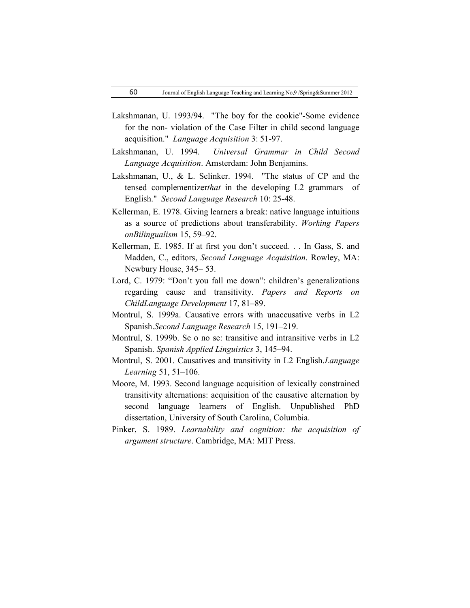- Lakshmanan, U. 1993/94. "The boy for the cookie"-Some evidence for the non- violation of the Case Filter in child second language acquisition." *Language Acquisition* 3: 51-97.
- Lakshmanan, U. 1994. *Universal Grammar in Child Second Language Acquisition*. Amsterdam: John Benjamins.
- Lakshmanan, U., & L. Selinker. 1994. "The status of CP and the tensed complementizer*that* in the developing L2 grammars of English." *Second Language Research* 10: 25-48.
- Kellerman, E. 1978. Giving learners a break: native language intuitions as a source of predictions about transferability. *Working Papers onBilingualism* 15, 59–92.
- Kellerman, E. 1985. If at first you don't succeed. . . In Gass, S. and Madden, C., editors, *Second Language Acquisition*. Rowley, MA: Newbury House, 345– 53.
- Lord, C. 1979: "Don't you fall me down": children's generalizations regarding cause and transitivity. *Papers and Reports on ChildLanguage Development* 17, 81–89.
- Montrul, S. 1999a. Causative errors with unaccusative verbs in L2 Spanish.*Second Language Research* 15, 191–219.
- Montrul, S. 1999b. Se o no se: transitive and intransitive verbs in L2 Spanish. *Spanish Applied Linguistics* 3, 145–94.
- Montrul, S. 2001. Causatives and transitivity in L2 English.*Language Learning* 51, 51–106.
- Moore, M. 1993. Second language acquisition of lexically constrained transitivity alternations: acquisition of the causative alternation by second language learners of English. Unpublished PhD dissertation, University of South Carolina, Columbia.
- Pinker, S. 1989. *Learnability and cognition: the acquisition of argument structure*. Cambridge, MA: MIT Press.